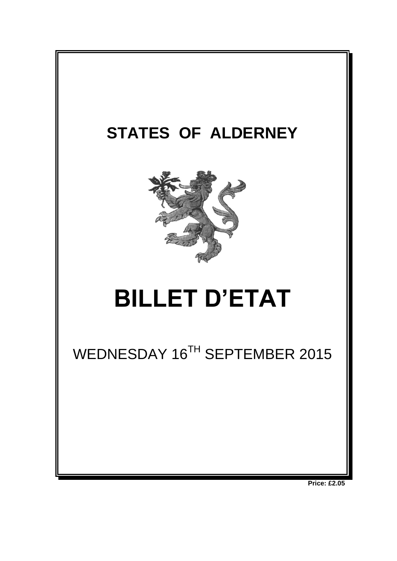

**Price: £2.05**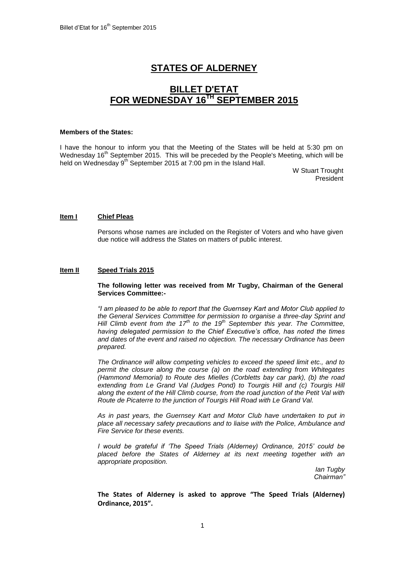# **STATES OF ALDERNEY**

## **BILLET D'ETAT FOR WEDNESDAY 16TH SEPTEMBER 2015**

#### **Members of the States:**

I have the honour to inform you that the Meeting of the States will be held at 5:30 pm on Wednesday  $16<sup>th</sup>$  September 2015. This will be preceded by the People's Meeting, which will be held on Wednesday 9<sup>th</sup> September 2015 at 7:00 pm in the Island Hall.

> W Stuart Trought **President**

## **Item I Chief Pleas**

Persons whose names are included on the Register of Voters and who have given due notice will address the States on matters of public interest.

## **Item II Speed Trials 2015**

## **The following letter was received from Mr Tugby, Chairman of the General Services Committee:-**

*"I am pleased to be able to report that the Guernsey Kart and Motor Club applied to the General Services Committee for permission to organise a three-day Sprint and Hill Climb event from the 17th to the 19th September this year. The Committee, having delegated permission to the Chief Executive's office, has noted the times and dates of the event and raised no objection. The necessary Ordinance has been prepared.*

*The Ordinance will allow competing vehicles to exceed the speed limit etc., and to permit the closure along the course (a) on the road extending from Whitegates (Hammond Memorial) to Route des Mielles (Corbletts bay car park), (b) the road*  extending from Le Grand Val (Judges Pond) to Tourgis Hill and (c) Tourgis Hill *along the extent of the Hill Climb course, from the road junction of the Petit Val with Route de Picaterre to the junction of Tourgis Hill Road with Le Grand Val.*

*As in past years, the Guernsey Kart and Motor Club have undertaken to put in place all necessary safety precautions and to liaise with the Police, Ambulance and Fire Service for these events.*

*I* would be grateful if 'The Speed Trials (Alderney) Ordinance, 2015' could be *placed before the States of Alderney at its next meeting together with an appropriate proposition.*

*Ian Tugby Chairman"*

**The States of Alderney is asked to approve "The Speed Trials (Alderney) Ordinance, 2015".**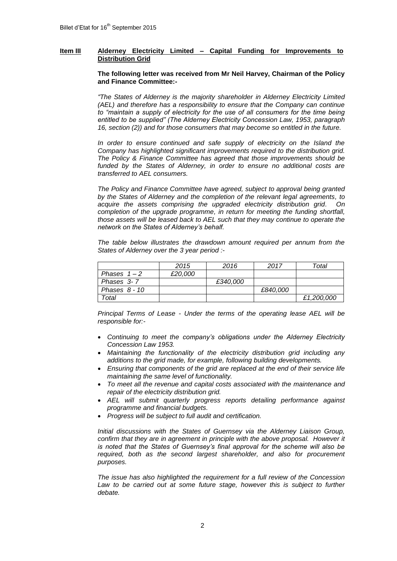## **Item III Alderney Electricity Limited – Capital Funding for Improvements to Distribution Grid**

#### **The following letter was received from Mr Neil Harvey, Chairman of the Policy and Finance Committee:-**

*"The States of Alderney is the majority shareholder in Alderney Electricity Limited (AEL) and therefore has a responsibility to ensure that the Company can continue to "maintain a supply of electricity for the use of all consumers for the time being entitled to be supplied" (The Alderney Electricity Concession Law, 1953, paragraph 16, section (2)) and for those consumers that may become so entitled in the future.*

In order to ensure continued and safe supply of electricity on the Island the *Company has highlighted significant improvements required to the distribution grid. The Policy & Finance Committee has agreed that those improvements should be*  funded by the States of Alderney, in order to ensure no additional costs are *transferred to AEL consumers.*

*The Policy and Finance Committee have agreed, subject to approval being granted by the States of Alderney and the completion of the relevant legal agreements, to acquire the assets comprising the upgraded electricity distribution grid. On completion of the upgrade programme, in return for meeting the funding shortfall, those assets will be leased back to AEL such that they may continue to operate the network on the States of Alderney's behalf.*

*The table below illustrates the drawdown amount required per annum from the States of Alderney over the 3 year period :-*

|               | 2015    | 2016     | 2017     | Total      |
|---------------|---------|----------|----------|------------|
| Phases $1-2$  | £20,000 |          |          |            |
| Phases 3-7    |         | £340.000 |          |            |
| Phases 8 - 10 |         |          | £840,000 |            |
| Total         |         |          |          | £1,200,000 |

*Principal Terms of Lease - Under the terms of the operating lease AEL will be responsible for:-*

- *Continuing to meet the company's obligations under the Alderney Electricity Concession Law 1953.*
- *Maintaining the functionality of the electricity distribution grid including any additions to the grid made, for example, following building developments.*
- *Ensuring that components of the grid are replaced at the end of their service life maintaining the same level of functionality.*
- *To meet all the revenue and capital costs associated with the maintenance and repair of the electricity distribution grid.*
- *AEL will submit quarterly progress reports detailing performance against programme and financial budgets.*
- *Progress will be subject to full audit and certification.*

*Initial discussions with the States of Guernsey via the Alderney Liaison Group, confirm that they are in agreement in principle with the above proposal. However it is noted that the States of Guernsey's final approval for the scheme will also be required, both as the second largest shareholder, and also for procurement purposes.*

*The issue has also highlighted the requirement for a full review of the Concession*  Law to be carried out at some future stage, however this is subject to further *debate.*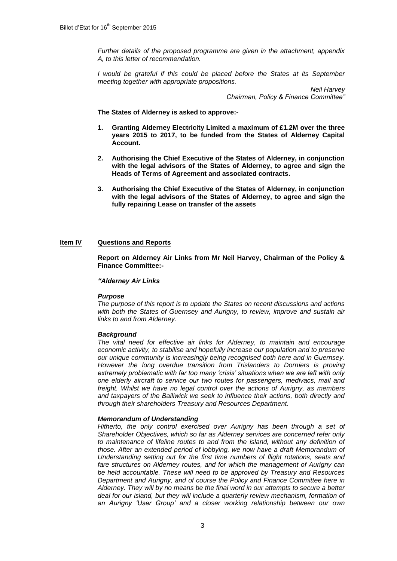*Further details of the proposed programme are given in the attachment, appendix A, to this letter of recommendation.*

*I would be grateful if this could be placed before the States at its September meeting together with appropriate propositions.*

> *Neil Harvey Chairman, Policy & Finance Committee"*

**The States of Alderney is asked to approve:-**

- **1. Granting Alderney Electricity Limited a maximum of £1.2M over the three years 2015 to 2017, to be funded from the States of Alderney Capital Account.**
- **2. Authorising the Chief Executive of the States of Alderney, in conjunction with the legal advisors of the States of Alderney, to agree and sign the Heads of Terms of Agreement and associated contracts.**
- **3. Authorising the Chief Executive of the States of Alderney, in conjunction with the legal advisors of the States of Alderney, to agree and sign the fully repairing Lease on transfer of the assets**

## **Item IV Questions and Reports**

**Report on Alderney Air Links from Mr Neil Harvey, Chairman of the Policy & Finance Committee:-**

## *"Alderney Air Links*

## *Purpose*

*The purpose of this report is to update the States on recent discussions and actions with both the States of Guernsey and Aurigny, to review, improve and sustain air links to and from Alderney.*

## *Background*

*The vital need for effective air links for Alderney, to maintain and encourage economic activity, to stabilise and hopefully increase our population and to preserve our unique community is increasingly being recognised both here and in Guernsey.*  However the long overdue transition from Trislanders to Dorniers is proving *extremely problematic with far too many 'crisis' situations when we are left with only one elderly aircraft to service our two routes for passengers, medivacs, mail and freight. Whilst we have no legal control over the actions of Aurigny, as members and taxpayers of the Bailiwick we seek to influence their actions, both directly and through their shareholders Treasury and Resources Department.*

## *Memorandum of Understanding*

*Hitherto, the only control exercised over Aurigny has been through a set of Shareholder Objectives, which so far as Alderney services are concerned refer only*  to maintenance of lifeline routes to and from the island, without any definition of *those. After an extended period of lobbying, we now have a draft Memorandum of Understanding setting out for the first time numbers of flight rotations, seats and fare structures on Alderney routes, and for which the management of Aurigny can be held accountable. These will need to be approved by Treasury and Resources Department and Aurigny, and of course the Policy and Finance Committee here in Alderney. They will by no means be the final word in our attempts to secure a better*  deal for our island, but they will include a quarterly review mechanism, formation of *an Aurigny 'User Group' and a closer working relationship between our own*